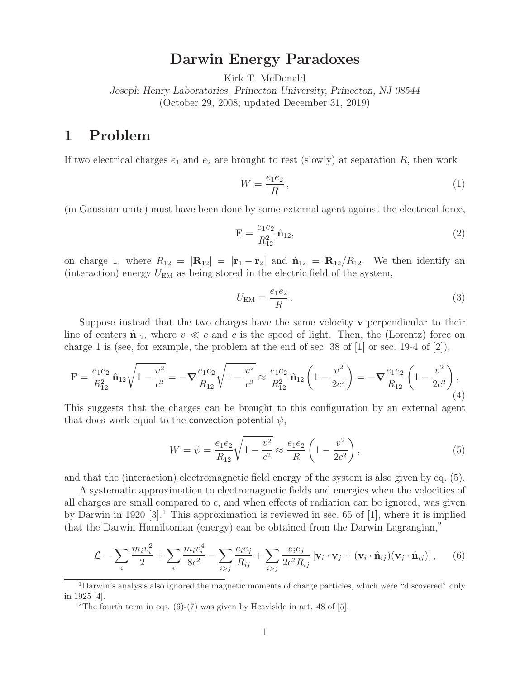## **Darwin Energy Paradoxes**

Kirk T. McDonald

*Joseph Henry Laboratories, Princeton University, Princeton, NJ 08544* (October 29, 2008; updated December 31, 2019)

## **1 Problem**

If two electrical charges  $e_1$  and  $e_2$  are brought to rest (slowly) at separation R, then work

$$
W = \frac{e_1 e_2}{R},\tag{1}
$$

(in Gaussian units) must have been done by some external agent against the electrical force,

$$
\mathbf{F} = \frac{e_1 e_2}{R_{12}^2} \hat{\mathbf{n}}_{12},\tag{2}
$$

on charge 1, where  $R_{12} = |\mathbf{R}_{12}| = |\mathbf{r}_1 - \mathbf{r}_2|$  and  $\hat{\mathbf{n}}_{12} = \mathbf{R}_{12}/R_{12}$ . We then identify an (interaction) energy  $U_{\text{EM}}$  as being stored in the electric field of the system,

$$
U_{\rm EM} = \frac{e_1 e_2}{R} \,. \tag{3}
$$

Suppose instead that the two charges have the same velocity **v** perpendicular to their line of centers  $\hat{\mathbf{n}}_{12}$ , where  $v \ll c$  and c is the speed of light. Then, the (Lorentz) force on charge 1 is (see, for example, the problem at the end of sec. 38 of  $[1]$  or sec. 19-4 of  $[2]$ ),

$$
\mathbf{F} = \frac{e_1 e_2}{R_{12}^2} \hat{\mathbf{n}}_{12} \sqrt{1 - \frac{v^2}{c^2}} = -\nabla \frac{e_1 e_2}{R_{12}} \sqrt{1 - \frac{v^2}{c^2}} \approx \frac{e_1 e_2}{R_{12}^2} \hat{\mathbf{n}}_{12} \left(1 - \frac{v^2}{2c^2}\right) = -\nabla \frac{e_1 e_2}{R_{12}} \left(1 - \frac{v^2}{2c^2}\right),\tag{4}
$$

This suggests that the charges can be brought to this configuration by an external agent that does work equal to the convection potential  $\psi$ ,

$$
W = \psi = \frac{e_1 e_2}{R_{12}} \sqrt{1 - \frac{v^2}{c^2}} \approx \frac{e_1 e_2}{R} \left( 1 - \frac{v^2}{2c^2} \right),\tag{5}
$$

and that the (interaction) electromagnetic field energy of the system is also given by eq. (5).

A systematic approximation to electromagnetic fields and energies when the velocities of all charges are small compared to c, and when effects of radiation can be ignored, was given by Darwin in 1920 [3].<sup>1</sup> This approximation is reviewed in sec. 65 of [1], where it is implied that the Darwin Hamiltonian (energy) can be obtained from the Darwin Lagrangian,<sup>2</sup>

$$
\mathcal{L} = \sum_{i} \frac{m_i v_i^2}{2} + \sum_{i} \frac{m_i v_i^4}{8c^2} - \sum_{i>j} \frac{e_i e_j}{R_{ij}} + \sum_{i>j} \frac{e_i e_j}{2c^2 R_{ij}} \left[ \mathbf{v}_i \cdot \mathbf{v}_j + (\mathbf{v}_i \cdot \hat{\mathbf{n}}_{ij})(\mathbf{v}_j \cdot \hat{\mathbf{n}}_{ij}) \right],
$$
 (6)

<sup>1</sup>Darwin's analysis also ignored the magnetic moments of charge particles, which were "discovered" only in 1925 [4].

<sup>&</sup>lt;sup>2</sup>The fourth term in eqs.  $(6)-(7)$  was given by Heaviside in art. 48 of [5].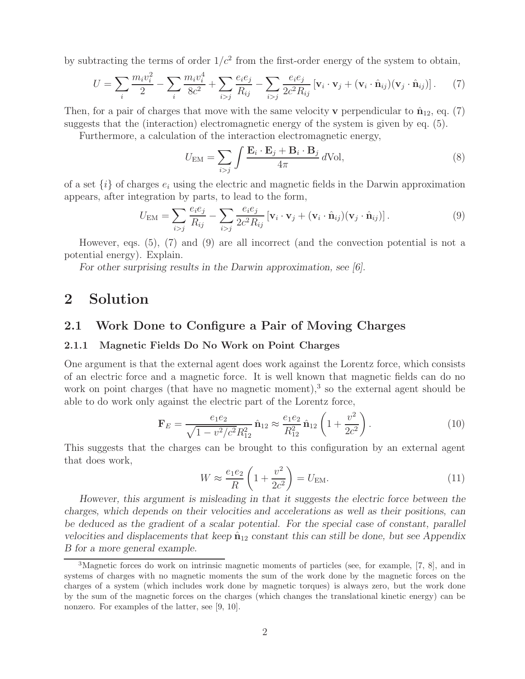by subtracting the terms of order  $1/c^2$  from the first-order energy of the system to obtain,

$$
U = \sum_{i} \frac{m_i v_i^2}{2} - \sum_{i} \frac{m_i v_i^4}{8c^2} + \sum_{i>j} \frac{e_i e_j}{R_{ij}} - \sum_{i>j} \frac{e_i e_j}{2c^2 R_{ij}} \left[ \mathbf{v}_i \cdot \mathbf{v}_j + (\mathbf{v}_i \cdot \hat{\mathbf{n}}_{ij})(\mathbf{v}_j \cdot \hat{\mathbf{n}}_{ij}) \right].
$$
 (7)

Then, for a pair of charges that move with the same velocity **v** perpendicular to  $\hat{\mathbf{n}}_{12}$ , eq. (7) suggests that the (interaction) electromagnetic energy of the system is given by eq. (5).

Furthermore, a calculation of the interaction electromagnetic energy,

$$
U_{\text{EM}} = \sum_{i>j} \int \frac{\mathbf{E}_i \cdot \mathbf{E}_j + \mathbf{B}_i \cdot \mathbf{B}_j}{4\pi} d\text{Vol},\tag{8}
$$

of a set  $\{i\}$  of charges  $e_i$  using the electric and magnetic fields in the Darwin approximation appears, after integration by parts, to lead to the form,

$$
U_{\text{EM}} = \sum_{i>j} \frac{e_i e_j}{R_{ij}} - \sum_{i>j} \frac{e_i e_j}{2c^2 R_{ij}} \left[ \mathbf{v}_i \cdot \mathbf{v}_j + (\mathbf{v}_i \cdot \hat{\mathbf{n}}_{ij}) (\mathbf{v}_j \cdot \hat{\mathbf{n}}_{ij}) \right]. \tag{9}
$$

However, eqs. (5), (7) and (9) are all incorrect (and the convection potential is not a potential energy). Explain.

*For other surprising results in the Darwin approximation, see [6].*

## **2 Solution**

#### **2.1 Work Done to Configure a Pair of Moving Charges**

#### **2.1.1 Magnetic Fields Do No Work on Point Charges**

One argument is that the external agent does work against the Lorentz force, which consists of an electric force and a magnetic force. It is well known that magnetic fields can do no work on point charges (that have no magnetic moment),<sup>3</sup> so the external agent should be able to do work only against the electric part of the Lorentz force,

$$
\mathbf{F}_E = \frac{e_1 e_2}{\sqrt{1 - v^2/c^2} R_{12}^2} \hat{\mathbf{n}}_{12} \approx \frac{e_1 e_2}{R_{12}^2} \hat{\mathbf{n}}_{12} \left( 1 + \frac{v^2}{2c^2} \right). \tag{10}
$$

This suggests that the charges can be brought to this configuration by an external agent that does work,

$$
W \approx \frac{e_1 e_2}{R} \left( 1 + \frac{v^2}{2c^2} \right) = U_{\text{EM}}.\tag{11}
$$

*However, this argument is misleading in that it suggests the electric force between the charges, which depends on their velocities and accelerations as well as their positions, can be deduced as the gradient of a scalar potential. For the special case of constant, parallel velocities and displacements that keep*  $\hat{\mathbf{n}}_{12}$  *constant this can still be done, but see Appendix B for a more general example.*

<sup>3</sup>Magnetic forces do work on intrinsic magnetic moments of particles (see, for example, [7, 8], and in systems of charges with no magnetic moments the sum of the work done by the magnetic forces on the charges of a system (which includes work done by magnetic torques) is always zero, but the work done by the sum of the magnetic forces on the charges (which changes the translational kinetic energy) can be nonzero. For examples of the latter, see [9, 10].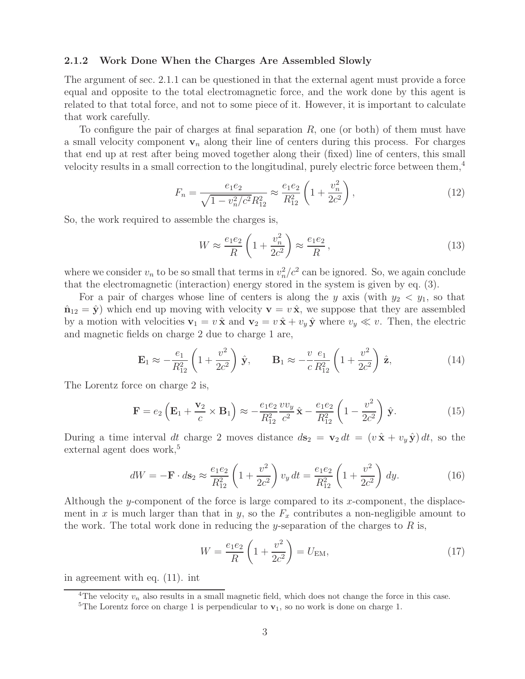#### **2.1.2 Work Done When the Charges Are Assembled Slowly**

The argument of sec. 2.1.1 can be questioned in that the external agent must provide a force equal and opposite to the total electromagnetic force, and the work done by this agent is related to that total force, and not to some piece of it. However, it is important to calculate that work carefully.

To configure the pair of charges at final separation  $R$ , one (or both) of them must have a small velocity component  $\mathbf{v}_n$  along their line of centers during this process. For charges that end up at rest after being moved together along their (fixed) line of centers, this small velocity results in a small correction to the longitudinal, purely electric force between them,<sup>4</sup>

$$
F_n = \frac{e_1 e_2}{\sqrt{1 - v_n^2/c^2} R_{12}^2} \approx \frac{e_1 e_2}{R_{12}^2} \left( 1 + \frac{v_n^2}{2c^2} \right),\tag{12}
$$

So, the work required to assemble the charges is,

$$
W \approx \frac{e_1 e_2}{R} \left( 1 + \frac{v_n^2}{2c^2} \right) \approx \frac{e_1 e_2}{R},\tag{13}
$$

where we consider  $v_n$  to be so small that terms in  $v_n^2/c^2$  can be ignored. So, we again conclude that the electromagnetic (interaction) energy stored in the system is given by eq. (3).

For a pair of charges whose line of centers is along the y axis (with  $y_2 < y_1$ , so that  $\hat{\mathbf{n}}_{12} = \hat{\mathbf{y}}$  which end up moving with velocity  $\mathbf{v} = v \hat{\mathbf{x}}$ , we suppose that they are assembled by a motion with velocities  $\mathbf{v}_1 = v \hat{\mathbf{x}}$  and  $\mathbf{v}_2 = v \hat{\mathbf{x}} + v_y \hat{\mathbf{y}}$  where  $v_y \ll v$ . Then, the electric and magnetic fields on charge 2 due to charge 1 are,

$$
\mathbf{E}_1 \approx -\frac{e_1}{R_{12}^2} \left( 1 + \frac{v^2}{2c^2} \right) \hat{\mathbf{y}}, \qquad \mathbf{B}_1 \approx -\frac{v}{c} \frac{e_1}{R_{12}^2} \left( 1 + \frac{v^2}{2c^2} \right) \hat{\mathbf{z}}, \tag{14}
$$

The Lorentz force on charge 2 is,

$$
\mathbf{F} = e_2 \left( \mathbf{E}_1 + \frac{\mathbf{v}_2}{c} \times \mathbf{B}_1 \right) \approx -\frac{e_1 e_2}{R_{12}^2} \frac{v v_y}{c^2} \hat{\mathbf{x}} - \frac{e_1 e_2}{R_{12}^2} \left( 1 - \frac{v^2}{2c^2} \right) \hat{\mathbf{y}}.
$$
 (15)

During a time interval dt charge 2 moves distance  $d\mathbf{s}_2 = \mathbf{v}_2 dt = (v \hat{\mathbf{x}} + v_y \hat{\mathbf{y}}) dt$ , so the external agent does work,<sup>5</sup>

$$
dW = -\mathbf{F} \cdot d\mathbf{s}_2 \approx \frac{e_1 e_2}{R_{12}^2} \left( 1 + \frac{v^2}{2c^2} \right) v_y dt = \frac{e_1 e_2}{R_{12}^2} \left( 1 + \frac{v^2}{2c^2} \right) dy.
$$
 (16)

Although the y-component of the force is large compared to its x-component, the displacement in x is much larger than that in y, so the  $F_x$  contributes a non-negligible amount to the work. The total work done in reducing the y-separation of the charges to  $R$  is,

$$
W = \frac{e_1 e_2}{R} \left( 1 + \frac{v^2}{2c^2} \right) = U_{\text{EM}},
$$
\n(17)

in agreement with eq. (11). int

<sup>&</sup>lt;sup>4</sup>The velocity  $v_n$  also results in a small magnetic field, which does not change the force in this case.

<sup>&</sup>lt;sup>5</sup>The Lorentz force on charge 1 is perpendicular to  $\mathbf{v}_1$ , so no work is done on charge 1.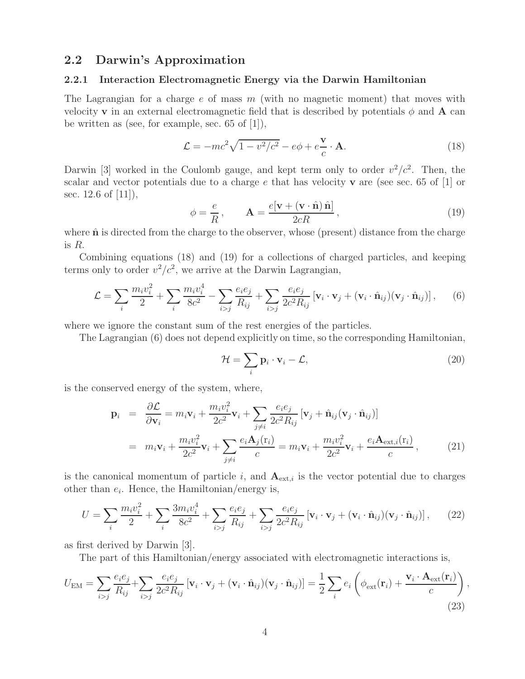### **2.2 Darwin's Approximation**

#### **2.2.1 Interaction Electromagnetic Energy via the Darwin Hamiltonian**

The Lagrangian for a charge  $e$  of mass  $m$  (with no magnetic moment) that moves with velocity **v** in an external electromagnetic field that is described by potentials  $\phi$  and **A** can be written as (see, for example, sec. 65 of [1]),

$$
\mathcal{L} = -mc^2\sqrt{1 - v^2/c^2} - e\phi + e\frac{\mathbf{v}}{c} \cdot \mathbf{A}.
$$
 (18)

Darwin [3] worked in the Coulomb gauge, and kept term only to order  $v^2/c^2$ . Then, the scalar and vector potentials due to a charge e that has velocity **v** are (see sec. 65 of [1] or sec. 12.6 of [11]),

$$
\phi = \frac{e}{R}, \qquad \mathbf{A} = \frac{e[\mathbf{v} + (\mathbf{v} \cdot \hat{\mathbf{n}}) \hat{\mathbf{n}}]}{2cR}, \qquad (19)
$$

where  $\hat{\bf{n}}$  is directed from the charge to the observer, whose (present) distance from the charge is  $R$ .

Combining equations (18) and (19) for a collections of charged particles, and keeping terms only to order  $v^2/c^2$ , we arrive at the Darwin Lagrangian,

$$
\mathcal{L} = \sum_{i} \frac{m_i v_i^2}{2} + \sum_{i} \frac{m_i v_i^4}{8c^2} - \sum_{i>j} \frac{e_i e_j}{R_{ij}} + \sum_{i>j} \frac{e_i e_j}{2c^2 R_{ij}} \left[ \mathbf{v}_i \cdot \mathbf{v}_j + (\mathbf{v}_i \cdot \hat{\mathbf{n}}_{ij})(\mathbf{v}_j \cdot \hat{\mathbf{n}}_{ij}) \right],
$$
 (6)

where we ignore the constant sum of the rest energies of the particles.

The Lagrangian (6) does not depend explicitly on time, so the corresponding Hamiltonian,

$$
\mathcal{H} = \sum_{i} \mathbf{p}_i \cdot \mathbf{v}_i - \mathcal{L},\tag{20}
$$

is the conserved energy of the system, where,

$$
\mathbf{p}_{i} = \frac{\partial \mathcal{L}}{\partial \mathbf{v}_{i}} = m_{i} \mathbf{v}_{i} + \frac{m_{i} v_{i}^{2}}{2c^{2}} \mathbf{v}_{i} + \sum_{j \neq i} \frac{e_{i} e_{j}}{2c^{2} R_{ij}} \left[ \mathbf{v}_{j} + \hat{\mathbf{n}}_{ij} (\mathbf{v}_{j} \cdot \hat{\mathbf{n}}_{ij}) \right]
$$
  
\n
$$
= m_{i} \mathbf{v}_{i} + \frac{m_{i} v_{i}^{2}}{2c^{2}} \mathbf{v}_{i} + \sum_{j \neq i} \frac{e_{i} \mathbf{A}_{j}(\mathbf{r}_{i})}{c} = m_{i} \mathbf{v}_{i} + \frac{m_{i} v_{i}^{2}}{2c^{2}} \mathbf{v}_{i} + \frac{e_{i} \mathbf{A}_{\text{ext},i}(\mathbf{r}_{i})}{c}, \qquad (21)
$$

is the canonical momentum of particle  $i$ , and  $A_{ext,i}$  is the vector potential due to charges other than  $e_i$ . Hence, the Hamiltonian/energy is,

$$
U = \sum_{i} \frac{m_i v_i^2}{2} + \sum_{i} \frac{3m_i v_i^4}{8c^2} + \sum_{i>j} \frac{e_i e_j}{R_{ij}} + \sum_{i>j} \frac{e_i e_j}{2c^2 R_{ij}} \left[ \mathbf{v}_i \cdot \mathbf{v}_j + (\mathbf{v}_i \cdot \hat{\mathbf{n}}_{ij})(\mathbf{v}_j \cdot \hat{\mathbf{n}}_{ij}) \right],\tag{22}
$$

as first derived by Darwin [3].

The part of this Hamiltonian/energy associated with electromagnetic interactions is,

$$
U_{\text{EM}} = \sum_{i>j} \frac{e_i e_j}{R_{ij}} + \sum_{i>j} \frac{e_i e_j}{2c^2 R_{ij}} \left[ \mathbf{v}_i \cdot \mathbf{v}_j + (\mathbf{v}_i \cdot \hat{\mathbf{n}}_{ij})(\mathbf{v}_j \cdot \hat{\mathbf{n}}_{ij}) \right] = \frac{1}{2} \sum_i e_i \left( \phi_{\text{ext}}(\mathbf{r}_i) + \frac{\mathbf{v}_i \cdot \mathbf{A}_{\text{ext}}(\mathbf{r}_i)}{c} \right),
$$
\n(23)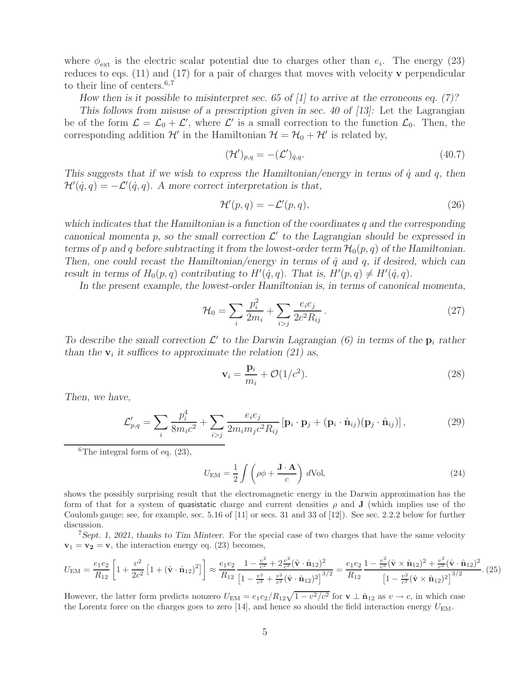where  $\phi_{\text{ext}}$  is the electric scalar potential due to charges other than  $e_i$ . The energy (23) reduces to eqs. (11) and (17) for a pair of charges that moves with velocity **v** perpendicular to their line of centers.<sup>6,7</sup>

*How then is it possible to misinterpret sec. 65 of [1] to arrive at the erroneous eq. (7)?*

*This follows from misuse of a prescription given in sec. 40 of [13]:* Let the Lagrangian be of the form  $\mathcal{L} = \mathcal{L}_0 + \mathcal{L}'$ , where  $\mathcal{L}'$  is a small correction to the function  $\mathcal{L}_0$ . Then, the corresponding addition  $\mathcal{H}'$  in the Hamiltonian  $\mathcal{H} = \mathcal{H}_0 + \mathcal{H}'$  is related by,

$$
(\mathcal{H}')_{p,q} = -(\mathcal{L}')_{q,q}.\tag{40.7}
$$

*This suggests that if we wish to express the Hamiltonian/energy in terms of*  $\dot{q}$  *and*  $q$ *, then*  $\mathcal{H}'(\dot{q}, q) = -\mathcal{L}'(\dot{q}, q)$ . A more correct interpretation is that,

$$
\mathcal{H}'(p,q) = -\mathcal{L}'(p,q),\tag{26}
$$

*which indicates that the Hamiltonian is a function of the coordinates* q *and the corresponding canonical momenta* p, so the small correction  $\mathcal{L}'$  to the Lagrangian should be expressed in *terms of* p and q before subtracting it from the lowest-order term  $\mathcal{H}_0(p,q)$  of the Hamiltonian. *Then, one could recast the Hamiltonian/energy in terms of*  $\dot{q}$  *and*  $q$ *, if desired, which can result in terms of*  $H_0(p,q)$  *contributing to*  $H'(\dot{q}, q)$ *. That is,*  $H'(p,q) \neq H'(\dot{q}, q)$ *.* 

*In the present example, the lowest-order Hamiltonian is, in terms of canonical momenta,*

$$
\mathcal{H}_0 = \sum_i \frac{p_i^2}{2m_i} + \sum_{i>j} \frac{e_i e_j}{2c^2 R_{ij}}.
$$
\n(27)

To describe the small correction  $\mathcal{L}'$  to the Darwin Lagrangian (6) in terms of the  $\mathbf{p}_i$  rather *than the*  $\mathbf{v}_i$  *it suffices to approximate the relation (21) as,* 

$$
\mathbf{v}_i = \frac{\mathbf{p}_i}{m_i} + \mathcal{O}(1/c^2). \tag{28}
$$

*Then, we have,*

$$
\mathcal{L}_{p,q}' = \sum_{i} \frac{p_i^4}{8m_i c^2} + \sum_{i>j} \frac{e_i e_j}{2m_i m_j c^2 R_{ij}} \left[ \mathbf{p}_i \cdot \mathbf{p}_j + (\mathbf{p}_i \cdot \hat{\mathbf{n}}_{ij}) (\mathbf{p}_j \cdot \hat{\mathbf{n}}_{ij}) \right],\tag{29}
$$

 ${}^{6}$ The integral form of eq. (23),

$$
U_{\rm EM} = \frac{1}{2} \int \left( \rho \phi + \frac{\mathbf{J} \cdot \mathbf{A}}{c} \right) d\text{Vol},\tag{24}
$$

shows the possibly surprising result that the electromagnetic energy in the Darwin approximation has the form of that for a system of quasistatic charge and current densities  $\rho$  and **J** (which implies use of the Coulomb gauge; see, for example, sec. 5.16 of [11] or secs. 31 and 33 of [12]). See sec. 2.2.2 below for further discussion.

<sup>7</sup>*Sept. 1, 2021, thanks to Tim Minteer.* For the special case of two charges that have the same velocity  $\mathbf{v}_1 = \mathbf{v}_2 = \mathbf{v}$ , the interaction energy eq. (23) becomes,

$$
U_{\rm EM} = \frac{e_1 e_2}{R_{12}} \left[ 1 + \frac{v^2}{2c^2} \left[ 1 + (\hat{\mathbf{v}} \cdot \hat{\mathbf{n}}_{12})^2 \right] \right] \approx \frac{e_1 e_2}{R_{12}} \frac{1 - \frac{v^2}{c^2} + 2\frac{v^2}{c^2} (\hat{\mathbf{v}} \cdot \hat{\mathbf{n}}_{12})^2}{\left[ 1 - \frac{v^2}{c^2} + \frac{v^2}{c^2} (\hat{\mathbf{v}} \cdot \hat{\mathbf{n}}_{12})^2 \right]^{3/2}} = \frac{e_1 e_2}{R_{12}} \frac{1 - \frac{v^2}{c^2} (\hat{\mathbf{v}} \times \hat{\mathbf{n}}_{12})^2 + \frac{v^2}{c^2} (\hat{\mathbf{v}} \cdot \hat{\mathbf{n}}_{12})^2}{\left[ 1 - \frac{v^2}{c^2} (\hat{\mathbf{v}} \times \hat{\mathbf{n}}_{12})^2 \right]^{3/2}}. (25)
$$

However, the latter form predicts nonzero  $U_{EM} = e_1e_2/R_{12}\sqrt{1-v^2/c^2}$  for  $\mathbf{v} \perp \hat{\mathbf{n}}_{12}$  as  $v \to c$ , in which case the Lorentz force on the charges goes to zero [14], and hence so should the field interaction energy  $U_{\text{EM}}$ .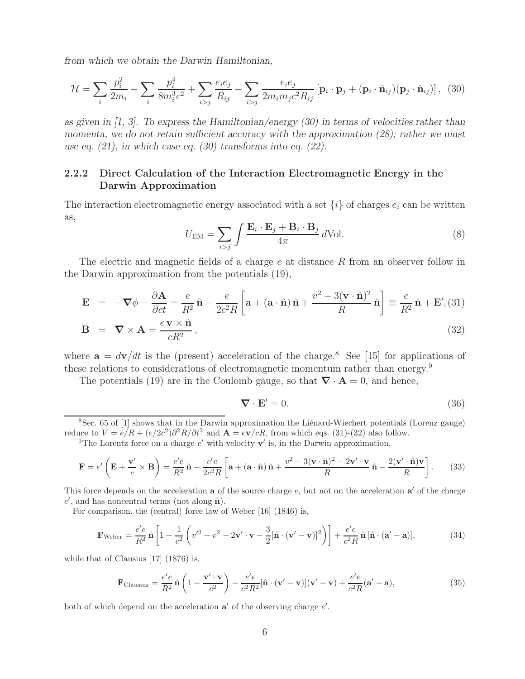*from which we obtain the Darwin Hamiltonian,*

$$
\mathcal{H} = \sum_{i} \frac{p_i^2}{2m_i} - \sum_{i} \frac{p_i^4}{8m_i^3 c^2} + \sum_{i>j} \frac{e_i e_j}{R_{ij}} - \sum_{i>j} \frac{e_i e_j}{2m_i m_j c^2 R_{ij}} \left[ \mathbf{p}_i \cdot \mathbf{p}_j + (\mathbf{p}_i \cdot \hat{\mathbf{n}}_{ij}) (\mathbf{p}_j \cdot \hat{\mathbf{n}}_{ij}) \right], \tag{30}
$$

*as given in [1, 3]. To express the Hamiltonian/energy (30) in terms of velocities rather than momenta, we do not retain sufficient accuracy with the approximation (28); rather we must use eq. (21), in which case eq. (30) transforms into eq. (22).*

#### **2.2.2 Direct Calculation of the Interaction Electromagnetic Energy in the Darwin Approximation**

The interaction electromagnetic energy associated with a set  $\{i\}$  of charges  $e_i$  can be written as,

$$
U_{\text{EM}} = \sum_{i>j} \int \frac{\mathbf{E}_i \cdot \mathbf{E}_j + \mathbf{B}_i \cdot \mathbf{B}_j}{4\pi} d\text{Vol}.
$$
 (8)

The electric and magnetic fields of a charge e at distance R from an observer follow in the Darwin approximation from the potentials (19),

$$
\mathbf{E} = -\nabla\phi - \frac{\partial \mathbf{A}}{\partial ct} = \frac{e}{R^2} \hat{\mathbf{n}} - \frac{e}{2c^2 R} \left[ \mathbf{a} + (\mathbf{a} \cdot \hat{\mathbf{n}}) \hat{\mathbf{n}} + \frac{v^2 - 3(\mathbf{v} \cdot \hat{\mathbf{n}})^2}{R} \hat{\mathbf{n}} \right] \equiv \frac{e}{R^2} \hat{\mathbf{n}} + \mathbf{E}', (31)
$$
  
\n
$$
\mathbf{B} = \nabla \times \mathbf{A} = \frac{e \mathbf{v} \times \hat{\mathbf{n}}}{cR^2},
$$
\n(32)

where  $\mathbf{a} = d\mathbf{v}/dt$  is the (present) acceleration of the charge.<sup>8</sup> See [15] for applications of these relations to considerations of electromagnetic momentum rather than energy.<sup>9</sup>

The potentials (19) are in the Coulomb gauge, so that  $\nabla \cdot \mathbf{A} = 0$ , and hence,

$$
\nabla \cdot \mathbf{E}' = 0. \tag{36}
$$

 $8$ Sec. 65 of [1] shows that in the Darwin approximation the Lienard-Wiechert potentials (Lorenz gauge) reduce to  $V = e/R + (e/2c^2)\partial^2 R/\partial t^2$  and  $\mathbf{A} = e\mathbf{v}/cR$ , from which eqs. (31)-(32) also follow.

<sup>9</sup>The Lorentz force on a charge  $e'$  with velocity  $\mathbf{v}'$  is, in the Darwin approximation,

$$
\mathbf{F} = e' \left( \mathbf{E} + \frac{\mathbf{v}'}{c} \times \mathbf{B} \right) = \frac{e'e}{R^2} \hat{\mathbf{n}} - \frac{e'e}{2c^2 R} \left[ \mathbf{a} + (\mathbf{a} \cdot \hat{\mathbf{n}}) \hat{\mathbf{n}} + \frac{v^2 - 3(\mathbf{v} \cdot \hat{\mathbf{n}})^2 - 2\mathbf{v}' \cdot \mathbf{v}}{R} \hat{\mathbf{n}} - \frac{2(\mathbf{v}' \cdot \hat{\mathbf{n}}) \mathbf{v}}{R} \right].
$$
 (33)

This force depends on the acceleration  $a$  of the source charge  $e$ , but not on the acceleration  $a'$  of the charge e', and has noncentral terms (not along  $\hat{\mathbf{n}}$ ).

For comparison, the (central) force law of Weber [16] (1846) is,

$$
\mathbf{F}_{\text{Weber}} = \frac{e'e}{R^2} \hat{\mathbf{n}} \left[ 1 + \frac{1}{c^2} \left( v'^2 + v^2 - 2\mathbf{v}' \cdot \mathbf{v} - \frac{3}{2} [\hat{\mathbf{n}} \cdot (\mathbf{v}' - \mathbf{v})]^2 \right) \right] + \frac{e'e}{c^2 R} \hat{\mathbf{n}} [\hat{\mathbf{n}} \cdot (\mathbf{a}' - \mathbf{a})],\tag{34}
$$

while that of Clausius [17] (1876) is,

$$
\mathbf{F}_{\text{Clausius}} = \frac{e'e}{R^2} \hat{\mathbf{n}} \left( 1 - \frac{\mathbf{v}' \cdot \mathbf{v}}{c^2} \right) - \frac{e'e}{c^2 R^2} [\hat{\mathbf{n}} \cdot (\mathbf{v}' - \mathbf{v})] (\mathbf{v}' - \mathbf{v}) + \frac{e'e}{c^2 R} (\mathbf{a}' - \mathbf{a}),\tag{35}
$$

both of which depend on the acceleration  $a'$  of the observing charge  $e'$ .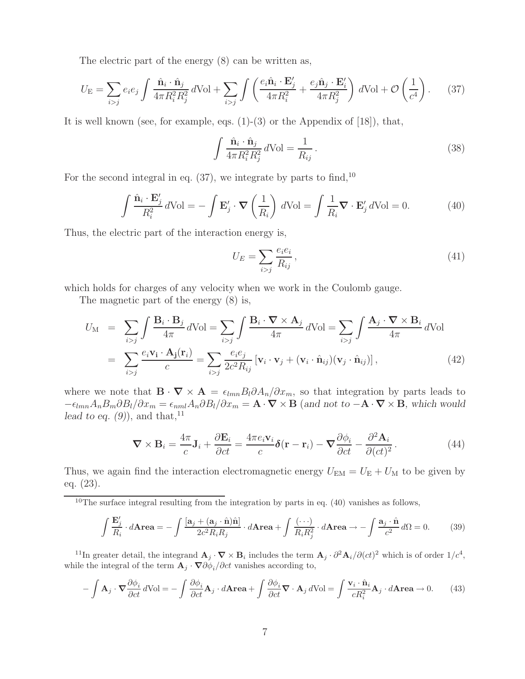The electric part of the energy (8) can be written as,

$$
U_{\rm E} = \sum_{i>j} e_i e_j \int \frac{\hat{\mathbf{n}}_i \cdot \hat{\mathbf{n}}_j}{4\pi R_i^2 R_j^2} d\text{Vol} + \sum_{i>j} \int \left( \frac{e_i \hat{\mathbf{n}}_i \cdot \mathbf{E}'_j}{4\pi R_i^2} + \frac{e_j \hat{\mathbf{n}}_j \cdot \mathbf{E}'_i}{4\pi R_j^2} \right) d\text{Vol} + \mathcal{O}\left(\frac{1}{c^4}\right). \tag{37}
$$

It is well known (see, for example, eqs.  $(1)-(3)$  or the Appendix of  $[18]$ ), that,

$$
\int \frac{\hat{\mathbf{n}}_i \cdot \hat{\mathbf{n}}_j}{4\pi R_i^2 R_j^2} d\text{Vol} = \frac{1}{R_{ij}}.
$$
\n(38)

For the second integral in eq.  $(37)$ , we integrate by parts to find,  $10$ 

$$
\int \frac{\hat{\mathbf{n}}_i \cdot \mathbf{E}'_j}{R_i^2} d\text{Vol} = -\int \mathbf{E}'_j \cdot \nabla \left(\frac{1}{R_i}\right) d\text{Vol} = \int \frac{1}{R_i} \nabla \cdot \mathbf{E}'_j d\text{Vol} = 0.
$$
 (40)

Thus, the electric part of the interaction energy is,

$$
U_E = \sum_{i>j} \frac{e_i e_i}{R_{ij}},\tag{41}
$$

which holds for charges of any velocity when we work in the Coulomb gauge.

The magnetic part of the energy (8) is,

$$
U_{\rm M} = \sum_{i>j} \int \frac{\mathbf{B}_i \cdot \mathbf{B}_j}{4\pi} d\text{Vol} = \sum_{i>j} \int \frac{\mathbf{B}_i \cdot \nabla \times \mathbf{A}_j}{4\pi} d\text{Vol} = \sum_{i>j} \int \frac{\mathbf{A}_j \cdot \nabla \times \mathbf{B}_i}{4\pi} d\text{Vol}
$$

$$
= \sum_{i>j} \frac{e_i \mathbf{v_i} \cdot \mathbf{A}_j(\mathbf{r}_i)}{c} = \sum_{i>j} \frac{e_i e_j}{2c^2 R_{ij}} [\mathbf{v}_i \cdot \mathbf{v}_j + (\mathbf{v}_i \cdot \hat{\mathbf{n}}_{ij})(\mathbf{v}_j \cdot \hat{\mathbf{n}}_{ij})], \tag{42}
$$

where we note that  $\mathbf{B} \cdot \nabla \times \mathbf{A} = \epsilon_{lmn} B_l \partial A_n / \partial x_m$ , so that integration by parts leads to  $-\epsilon_{lmn}A_nB_m\partial B_l/\partial x_m = \epsilon_{nml}A_n\partial B_l/\partial x_m = \mathbf{A}\cdot\mathbf{\nabla}\times\mathbf{B}$  (and not to  $-\mathbf{A}\cdot\mathbf{\nabla}\times\mathbf{B}$ , which would *lead to eq.*  $(9)$ , and that,<sup>11</sup>

$$
\nabla \times \mathbf{B}_i = \frac{4\pi}{c} \mathbf{J}_i + \frac{\partial \mathbf{E}_i}{\partial ct} = \frac{4\pi e_i \mathbf{v}_i}{c} \delta(\mathbf{r} - \mathbf{r}_i) - \nabla \frac{\partial \phi_i}{\partial ct} - \frac{\partial^2 \mathbf{A}_i}{\partial (ct)^2}.
$$
(44)

Thus, we again find the interaction electromagnetic energy  $U_{EM} = U_E + U_M$  to be given by eq. (23).

<sup>10</sup>The surface integral resulting from the integration by parts in eq. (40) vanishes as follows,

$$
\int \frac{\mathbf{E}'_j}{R_i} \cdot d\mathbf{Area} = -\int \frac{[\mathbf{a}_j + (\mathbf{a}_j \cdot \hat{\mathbf{n}})\hat{\mathbf{n}}]}{2c^2 R_i R_j} \cdot d\mathbf{Area} + \int \frac{(\cdots)}{R_i R_j^2} \cdot d\mathbf{Area} \to -\int \frac{\mathbf{a}_j \cdot \hat{\mathbf{n}}}{c^2} d\Omega = 0.
$$
 (39)

<sup>11</sup>In greater detail, the integrand  $\mathbf{A}_j \cdot \nabla \times \mathbf{B}_i$  includes the term  $\mathbf{A}_j \cdot \partial^2 \mathbf{A}_i / \partial (ct)^2$  which is of order  $1/c^4$ , while the integral of the term  $\mathbf{A}_j \cdot \nabla \partial \phi_i / \partial ct$  vanishes according to,

$$
-\int \mathbf{A}_{j} \cdot \nabla \frac{\partial \phi_{i}}{\partial ct} d\text{Vol} = -\int \frac{\partial \phi_{i}}{\partial ct} \mathbf{A}_{j} \cdot d\mathbf{Area} + \int \frac{\partial \phi_{i}}{\partial ct} \nabla \cdot \mathbf{A}_{j} d\text{Vol} = \int \frac{\mathbf{v}_{i} \cdot \hat{\mathbf{n}}_{i}}{cR_{i}^{2}} \mathbf{A}_{j} \cdot d\mathbf{Area} \to 0.
$$
 (43)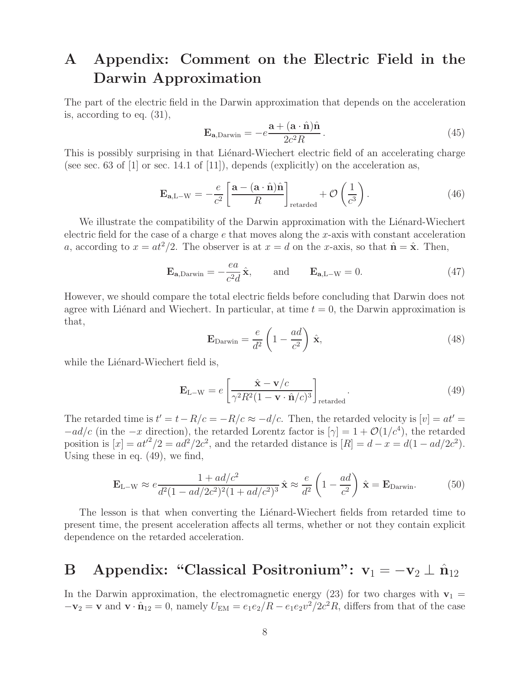# **A Appendix: Comment on the Electric Field in the Darwin Approximation**

The part of the electric field in the Darwin approximation that depends on the acceleration is, according to eq. (31),

$$
\mathbf{E}_{\mathbf{a},\text{Darwin}} = -e^{\mathbf{a} + (\mathbf{a} \cdot \hat{\mathbf{n}})\hat{\mathbf{n}}}_{2c^2 R}.
$$
 (45)

This is possibly surprising in that Lienard-Wiechert electric field of an accelerating charge (see sec. 63 of [1] or sec. 14.1 of [11]), depends (explicitly) on the acceleration as,

$$
\mathbf{E}_{\mathbf{a},L-W} = -\frac{e}{c^2} \left[ \frac{\mathbf{a} - (\mathbf{a} \cdot \hat{\mathbf{n}}) \hat{\mathbf{n}}}{R} \right]_{\text{retarded}} + \mathcal{O}\left(\frac{1}{c^3}\right). \tag{46}
$$

We illustrate the compatibility of the Darwin approximation with the Liénard-Wiechert electric field for the case of a charge  $e$  that moves along the x-axis with constant acceleration a, according to  $x = at^2/2$ . The observer is at  $x = d$  on the x-axis, so that  $\hat{\mathbf{n}} = \hat{\mathbf{x}}$ . Then,

$$
\mathbf{E}_{\mathbf{a},\text{Darwin}} = -\frac{ea}{c^2 d} \hat{\mathbf{x}}, \quad \text{and} \quad \mathbf{E}_{\mathbf{a},\text{L-W}} = 0. \tag{47}
$$

However, we should compare the total electric fields before concluding that Darwin does not agree with Liénard and Wiechert. In particular, at time  $t = 0$ , the Darwin approximation is that,

$$
\mathbf{E}_{\text{Darwin}} = \frac{e}{d^2} \left( 1 - \frac{ad}{c^2} \right) \hat{\mathbf{x}},\tag{48}
$$

while the Liénard-Wiechert field is,

$$
\mathbf{E}_{\text{L-W}} = e \left[ \frac{\hat{\mathbf{x}} - \mathbf{v}/c}{\gamma^2 R^2 (1 - \mathbf{v} \cdot \hat{\mathbf{n}}/c)^3} \right]_{\text{retarded}}.
$$
(49)

The retarded time is  $t' = t - R/c = -R/c \approx -d/c$ . Then, the retarded velocity is  $[v] = at' =$  $-a d/c$  (in the  $-x$  direction), the retarded Lorentz factor is  $[\gamma] = 1 + \mathcal{O}(1/c^4)$ , the retarded position is  $[x] = at'^2/2 = ad^2/2c^2$ , and the retarded distance is  $[R] = d - x = d(1 - ad/2c^2)$ . Using these in eq. (49), we find,

$$
\mathbf{E}_{\text{L-W}} \approx e \frac{1 + ad/c^2}{d^2 (1 - ad/2c^2)^2 (1 + ad/c^2)^3} \hat{\mathbf{x}} \approx \frac{e}{d^2} \left( 1 - \frac{ad}{c^2} \right) \hat{\mathbf{x}} = \mathbf{E}_{\text{Darwin}}.
$$
 (50)

The lesson is that when converting the Lienard-Wiechert fields from retarded time to present time, the present acceleration affects all terms, whether or not they contain explicit dependence on the retarded acceleration.

# **B** Appendix: "Classical Positronium":  $v_1 = -v_2 \perp \hat{n}_{12}$

In the Darwin approximation, the electromagnetic energy (23) for two charges with  $\mathbf{v}_1$  =  $-\mathbf{v}_2 = \mathbf{v}$  and  $\mathbf{v} \cdot \hat{\mathbf{n}}_{12} = 0$ , namely  $U_{EM} = e_1e_2/R - e_1e_2v^2/2c^2R$ , differs from that of the case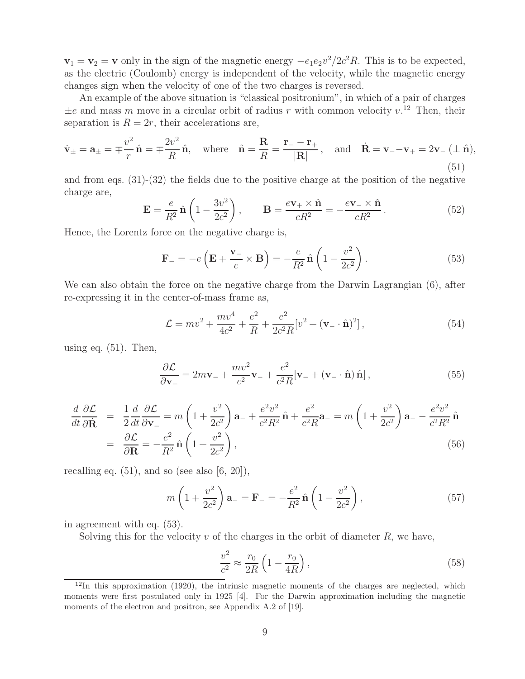$\mathbf{v}_1 = \mathbf{v}_2 = \mathbf{v}$  only in the sign of the magnetic energy  $-e_1e_2v^2/2c^2R$ . This is to be expected, as the electric (Coulomb) energy is independent of the velocity, while the magnetic energy changes sign when the velocity of one of the two charges is reversed.

An example of the above situation is "classical positronium", in which of a pair of charges  $\pm e$  and mass m move in a circular orbit of radius r with common velocity  $v^{12}$ . Then, their separation is  $R = 2r$ , their accelerations are,

$$
\dot{\mathbf{v}}_{\pm} = \mathbf{a}_{\pm} = \mp \frac{v^2}{r} \hat{\mathbf{n}} = \mp \frac{2v^2}{R} \hat{\mathbf{n}}, \text{ where } \hat{\mathbf{n}} = \frac{\mathbf{R}}{R} = \frac{\mathbf{r}_{-} - \mathbf{r}_{+}}{|\mathbf{R}|}, \text{ and } \dot{\mathbf{R}} = \mathbf{v}_{-} - \mathbf{v}_{+} = 2\mathbf{v}_{-} \ (\perp \hat{\mathbf{n}}),
$$
\n(51)

and from eqs. (31)-(32) the fields due to the positive charge at the position of the negative charge are,

$$
\mathbf{E} = \frac{e}{R^2} \hat{\mathbf{n}} \left( 1 - \frac{3v^2}{2c^2} \right), \qquad \mathbf{B} = \frac{e\mathbf{v}_+ \times \hat{\mathbf{n}}}{cR^2} = -\frac{e\mathbf{v}_- \times \hat{\mathbf{n}}}{cR^2}.
$$
 (52)

Hence, the Lorentz force on the negative charge is,

$$
\mathbf{F}_{-} = -e\left(\mathbf{E} + \frac{\mathbf{v}_{-}}{c} \times \mathbf{B}\right) = -\frac{e}{R^2} \hat{\mathbf{n}} \left(1 - \frac{v^2}{2c^2}\right). \tag{53}
$$

We can also obtain the force on the negative charge from the Darwin Lagrangian (6), after re-expressing it in the center-of-mass frame as,

$$
\mathcal{L} = mv^2 + \frac{mv^4}{4c^2} + \frac{e^2}{R} + \frac{e^2}{2c^2R} [v^2 + (\mathbf{v}_- \cdot \hat{\mathbf{n}})^2],
$$
\n(54)

using eq.  $(51)$ . Then,

$$
\frac{\partial \mathcal{L}}{\partial \mathbf{v}_{-}} = 2m\mathbf{v}_{-} + \frac{mv^{2}}{c^{2}}\mathbf{v}_{-} + \frac{e^{2}}{c^{2}R}[\mathbf{v}_{-} + (\mathbf{v}_{-} \cdot \hat{\mathbf{n}}) \hat{\mathbf{n}}],
$$
\n(55)

$$
\frac{d}{dt}\frac{\partial \mathcal{L}}{\partial \dot{\mathbf{R}}} = \frac{1}{2}\frac{d}{dt}\frac{\partial \mathcal{L}}{\partial \mathbf{v}_{-}} = m\left(1 + \frac{v^2}{2c^2}\right)\mathbf{a}_{-} + \frac{e^2v^2}{c^2R^2}\hat{\mathbf{n}} + \frac{e^2}{c^2R}\mathbf{a}_{-} = m\left(1 + \frac{v^2}{2c^2}\right)\mathbf{a}_{-} - \frac{e^2v^2}{c^2R^2}\hat{\mathbf{n}}\n\n= \frac{\partial \mathcal{L}}{\partial \mathbf{R}} = -\frac{e^2}{R^2}\hat{\mathbf{n}}\left(1 + \frac{v^2}{2c^2}\right),
$$
\n(56)

recalling eq.  $(51)$ , and so (see also  $[6, 20]$ ),

$$
m\left(1+\frac{v^2}{2c^2}\right)\mathbf{a}_{-}=\mathbf{F}_{-}=-\frac{e^2}{R^2}\,\hat{\mathbf{n}}\left(1-\frac{v^2}{2c^2}\right),\tag{57}
$$

in agreement with eq. (53).

Solving this for the velocity  $v$  of the charges in the orbit of diameter  $R$ , we have,

$$
\frac{v^2}{c^2} \approx \frac{r_0}{2R} \left( 1 - \frac{r_0}{4R} \right),\tag{58}
$$

 $12$ In this approximation (1920), the intrinsic magnetic moments of the charges are neglected, which moments were first postulated only in 1925 [4]. For the Darwin approximation including the magnetic moments of the electron and positron, see Appendix A.2 of [19].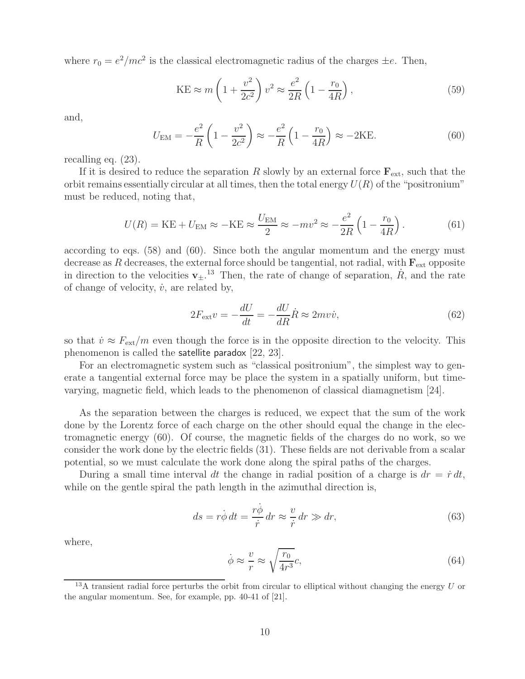where  $r_0 = e^2/mc^2$  is the classical electromagnetic radius of the charges  $\pm e$ . Then,

$$
KE \approx m \left( 1 + \frac{v^2}{2c^2} \right) v^2 \approx \frac{e^2}{2R} \left( 1 - \frac{r_0}{4R} \right),\tag{59}
$$

and,

$$
U_{\text{EM}} = -\frac{e^2}{R} \left( 1 - \frac{v^2}{2c^2} \right) \approx -\frac{e^2}{R} \left( 1 - \frac{r_0}{4R} \right) \approx -2\text{KE}.
$$
 (60)

recalling eq. (23).

If it is desired to reduce the separation R slowly by an external force  $\mathbf{F}_{ext}$ , such that the orbit remains essentially circular at all times, then the total energy  $U(R)$  of the "positronium" must be reduced, noting that,

$$
U(R) = KE + U_{EM} \approx -KE \approx \frac{U_{EM}}{2} \approx -mv^2 \approx -\frac{e^2}{2R} \left( 1 - \frac{r_0}{4R} \right). \tag{61}
$$

according to eqs. (58) and (60). Since both the angular momentum and the energy must decrease as R decreases, the external force should be tangential, not radial, with  $\mathbf{F}_{ext}$  opposite in direction to the velocities  $\mathbf{v}_{\pm}$ .<sup>13</sup> Then, the rate of change of separation,  $\dot{R}$ , and the rate of change of velocity,  $\dot{v}$ , are related by,

$$
2F_{\text{ext}}v = -\frac{dU}{dt} = -\frac{dU}{dR}\dot{R} \approx 2mv\dot{v},\qquad(62)
$$

so that  $\dot{v} \approx F_{ext}/m$  even though the force is in the opposite direction to the velocity. This phenomenon is called the satellite paradox [22, 23].

For an electromagnetic system such as "classical positronium", the simplest way to generate a tangential external force may be place the system in a spatially uniform, but timevarying, magnetic field, which leads to the phenomenon of classical diamagnetism [24].

As the separation between the charges is reduced, we expect that the sum of the work done by the Lorentz force of each charge on the other should equal the change in the electromagnetic energy (60). Of course, the magnetic fields of the charges do no work, so we consider the work done by the electric fields (31). These fields are not derivable from a scalar potential, so we must calculate the work done along the spiral paths of the charges.

During a small time interval dt the change in radial position of a charge is  $dr = \dot{r} dt$ , while on the gentle spiral the path length in the azimuthal direction is,

$$
ds = r\dot{\phi}\,dt = \frac{r\dot{\phi}}{\dot{r}}\,dr \approx \frac{v}{\dot{r}}\,dr \gg dr,\tag{63}
$$

where,

$$
\dot{\phi} \approx \frac{v}{r} \approx \sqrt{\frac{r_0}{4r^3}}c,\tag{64}
$$

<sup>&</sup>lt;sup>13</sup>A transient radial force perturbs the orbit from circular to elliptical without changing the energy  $U$  or the angular momentum. See, for example, pp. 40-41 of [21].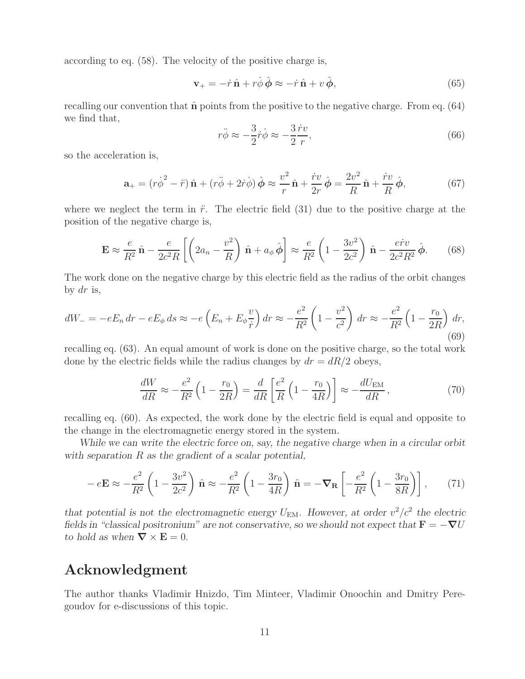according to eq. (58). The velocity of the positive charge is,

$$
\mathbf{v}_{+} = -\dot{r}\,\hat{\mathbf{n}} + r\dot{\phi}\,\hat{\boldsymbol{\phi}} \approx -\dot{r}\,\hat{\mathbf{n}} + v\,\hat{\boldsymbol{\phi}},\tag{65}
$$

recalling our convention that  $\hat{\bf{n}}$  points from the positive to the negative charge. From eq. (64) we find that,

$$
r\ddot{\phi} \approx -\frac{3}{2}\dot{r}\dot{\phi} \approx -\frac{3}{2}\frac{\dot{r}v}{r},\tag{66}
$$

so the acceleration is,

$$
\mathbf{a}_{+} = (r\dot{\phi}^{2} - \ddot{r})\,\hat{\mathbf{n}} + (r\ddot{\phi} + 2\dot{r}\dot{\phi})\,\hat{\phi} \approx \frac{v^{2}}{r}\,\hat{\mathbf{n}} + \frac{\dot{r}v}{2r}\,\hat{\phi} = \frac{2v^{2}}{R}\,\hat{\mathbf{n}} + \frac{\dot{r}v}{R}\,\hat{\phi},\tag{67}
$$

where we neglect the term in  $\ddot{r}$ . The electric field (31) due to the positive charge at the position of the negative charge is,

$$
\mathbf{E} \approx \frac{e}{R^2} \hat{\mathbf{n}} - \frac{e}{2c^2 R} \left[ \left( 2a_n - \frac{v^2}{R} \right) \hat{\mathbf{n}} + a_\phi \hat{\boldsymbol{\phi}} \right] \approx \frac{e}{R^2} \left( 1 - \frac{3v^2}{2c^2} \right) \hat{\mathbf{n}} - \frac{e\dot{r}v}{2c^2 R^2} \hat{\boldsymbol{\phi}}.
$$
 (68)

The work done on the negative charge by this electric field as the radius of the orbit changes by  $dr$  is,

$$
dW_{-} = -eE_n dr - eE_{\phi} ds \approx -e\left(E_n + E_{\phi}\frac{v}{\dot{r}}\right) dr \approx -\frac{e^2}{R^2} \left(1 - \frac{v^2}{c^2}\right) dr \approx -\frac{e^2}{R^2} \left(1 - \frac{r_0}{2R}\right) dr,
$$
\n(69)

recalling eq. (63). An equal amount of work is done on the positive charge, so the total work done by the electric fields while the radius changes by  $dr = dR/2$  obeys,

$$
\frac{dW}{dR} \approx -\frac{e^2}{R^2} \left( 1 - \frac{r_0}{2R} \right) = \frac{d}{dR} \left[ \frac{e^2}{R} \left( 1 - \frac{r_0}{4R} \right) \right] \approx -\frac{dU_{\text{EM}}}{dR},\tag{70}
$$

recalling eq. (60). As expected, the work done by the electric field is equal and opposite to the change in the electromagnetic energy stored in the system.

*While we can write the electric force on, say, the negative charge when in a circular orbit with separation* R *as the gradient of a scalar potential,*

$$
-e\mathbf{E} \approx -\frac{e^2}{R^2} \left( 1 - \frac{3v^2}{2c^2} \right) \hat{\mathbf{n}} \approx -\frac{e^2}{R^2} \left( 1 - \frac{3r_0}{4R} \right) \hat{\mathbf{n}} = -\nabla_{\mathbf{R}} \left[ -\frac{e^2}{R^2} \left( 1 - \frac{3r_0}{8R} \right) \right],\tag{71}
$$

*that potential is not the electromagnetic energy*  $U_{EM}$ . However, at order  $v^2/c^2$  the electric *fields in "classical positronium" are not conservative, so we should not expect that*  $\mathbf{F} = -\nabla U$ *to hold as when*  $\nabla \times \mathbf{E} = 0$ *.* 

## **Acknowledgment**

The author thanks Vladimir Hnizdo, Tim Minteer, Vladimir Onoochin and Dmitry Peregoudov for e-discussions of this topic.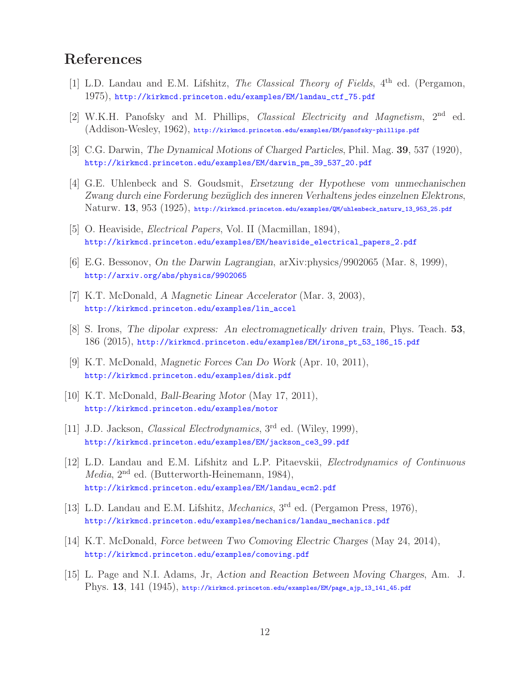# **References**

- [1] L.D. Landau and E.M. Lifshitz, *The Classical Theory of Fields*, 4th ed. (Pergamon, 1975), http://kirkmcd.princeton.edu/examples/EM/landau\_ctf\_75.pdf
- [2] W.K.H. Panofsky and M. Phillips, *Classical Electricity and Magnetism*, 2nd ed. (Addison-Wesley, 1962), http://kirkmcd.princeton.edu/examples/EM/panofsky-phillips.pdf
- [3] C.G. Darwin, *The Dynamical Motions of Charged Particles*, Phil. Mag. **39**, 537 (1920), http://kirkmcd.princeton.edu/examples/EM/darwin\_pm\_39\_537\_20.pdf
- [4] G.E. Uhlenbeck and S. Goudsmit, *Ersetzung der Hypothese vom unmechanischen Zwang durch eine Forderung bez¨uglich des inneren Verhaltens jedes einzelnen Elektrons*, Naturw. **13**, 953 (1925), http://kirkmcd.princeton.edu/examples/QM/uhlenbeck\_naturw\_13\_953\_25.pdf
- [5] O. Heaviside, *Electrical Papers*, Vol. II (Macmillan, 1894), http://kirkmcd.princeton.edu/examples/EM/heaviside\_electrical\_papers\_2.pdf
- [6] E.G. Bessonov, *On the Darwin Lagrangian*, arXiv:physics/9902065 (Mar. 8, 1999), http://arxiv.org/abs/physics/9902065
- [7] K.T. McDonald, *A Magnetic Linear Accelerator* (Mar. 3, 2003), http://kirkmcd.princeton.edu/examples/lin\_accel
- [8] S. Irons, *The dipolar express: An electromagnetically driven train*, Phys. Teach. **53**, 186 (2015), http://kirkmcd.princeton.edu/examples/EM/irons\_pt\_53\_186\_15.pdf
- [9] K.T. McDonald, *Magnetic Forces Can Do Work* (Apr. 10, 2011), http://kirkmcd.princeton.edu/examples/disk.pdf
- [10] K.T. McDonald, *Ball-Bearing Motor* (May 17, 2011), http://kirkmcd.princeton.edu/examples/motor
- [11] J.D. Jackson, *Classical Electrodynamics*, 3rd ed. (Wiley, 1999), http://kirkmcd.princeton.edu/examples/EM/jackson\_ce3\_99.pdf
- [12] L.D. Landau and E.M. Lifshitz and L.P. Pitaevskii, *Electrodynamics of Continuous Media*, 2nd ed. (Butterworth-Heinemann, 1984), http://kirkmcd.princeton.edu/examples/EM/landau\_ecm2.pdf
- [13] L.D. Landau and E.M. Lifshitz, *Mechanics*, 3rd ed. (Pergamon Press, 1976), http://kirkmcd.princeton.edu/examples/mechanics/landau\_mechanics.pdf
- [14] K.T. McDonald, *Force between Two Comoving Electric Charges* (May 24, 2014), http://kirkmcd.princeton.edu/examples/comoving.pdf
- [15] L. Page and N.I. Adams, Jr, *Action and Reaction Between Moving Charges*, Am. J. Phys. **13**, 141 (1945), http://kirkmcd.princeton.edu/examples/EM/page\_ajp\_13\_141\_45.pdf